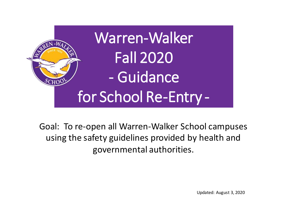

Goal: To re-open all Warren-Walker School campuses using the safety guidelines provided by health and governmental authorities.

Updated: August 3, 2020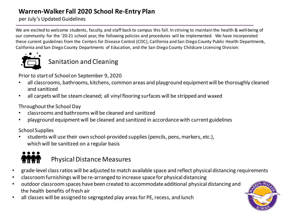per July's Updated Guidelines

We are excited to welcome students, faculty, and staff back to campus this fall. In striving to maintain the health & well-being of our community for the '20-21 school year, the following policies and procedures will be implemented. We have incorporated these current guidelines from the Centers for Disease Control (CDC), California and San Diego County Public Health Departments, California and San Diego County Departments of Education, and the San Diego County Childcare Licensing Division:



## Sanitation and Cleaning

Prior to start of School on September 9, 2020

- all classrooms, bathrooms, kitchens, common areas and playground equipment will be thoroughly cleaned and sanitized
- all carpets will be steam cleaned; all vinyl flooring surfaces will be stripped and waxed

Throughout the School Day

- classrooms and bathrooms will be cleaned and sanitized
- playground equipment will be cleaned and sanitized in accordance with current guidelines

School Supplies

• students will use their own school-provided supplies (pencils, pens, markers, etc.), which will be sanitized on a regular basis



## Physical Distance Measures

- grade-level class ratios will be adjusted to match available space and reflect physical distancing requirements
- classroom furnishings will be re-arranged to increase space for physical distancing
- outdoor classroom spaces have been created to accommodate additional physical distancing and the health benefits of fresh air
- all classes will be assigned to segregated play areas for PE, recess, and lunch

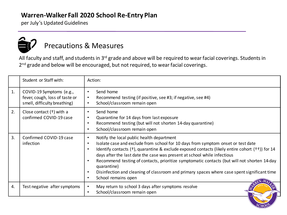per July's Updated Guidelines



## Precautions & Measures

All faculty and staff, and students in 3<sup>rd</sup> grade and above will be required to wear facial coverings. Students in 2<sup>nd</sup> grade and below will be encouraged, but not required, to wear facial coverings.

|    | Student or Staff with:                                                                     | Action:                                                                                                                                                                                                                                                                                                                                                                                                                                                                                                                                                                                                                        |
|----|--------------------------------------------------------------------------------------------|--------------------------------------------------------------------------------------------------------------------------------------------------------------------------------------------------------------------------------------------------------------------------------------------------------------------------------------------------------------------------------------------------------------------------------------------------------------------------------------------------------------------------------------------------------------------------------------------------------------------------------|
| 1. | COVID-19 Symptoms (e.g.,<br>fever, cough, loss of taste or<br>smell, difficulty breathing) | Send home<br>$\bullet$<br>Recommend testing (if positive, see #3; if negative, see #4)<br>$\bullet$<br>School/classroom remain open<br>$\bullet$                                                                                                                                                                                                                                                                                                                                                                                                                                                                               |
| 2. | Close contact $(+)$ with a<br>confirmed COVID-19 case                                      | Send home<br>$\bullet$<br>Quarantine for 14 days from last exposure<br>$\bullet$<br>Recommend testing (but will not shorten 14-day quarantine)<br>$\bullet$<br>School/classroom remain open<br>$\bullet$                                                                                                                                                                                                                                                                                                                                                                                                                       |
| 3. | Confirmed COVID-19 case<br>infection                                                       | Notify the local public health department<br>$\bullet$<br>Isolate case and exclude from school for 10 days from symptom onset or test date<br>$\bullet$<br>Identify contacts (†), quarantine & exclude exposed contacts (likely entire cohort (††)) for 14<br>$\bullet$<br>days after the last date the case was present at school while infectious<br>Recommend testing of contacts, prioritize symptomatic contacts (but will not shorten 14-day<br>$\bullet$<br>quarantine)<br>Disinfection and cleaning of classroom and primary spaces where case spent significant time<br>$\bullet$<br>School remains open<br>$\bullet$ |
| 4. | Test negative after symptoms                                                               | May return to school 3 days after symptoms resolve<br>$\bullet$<br>School/classroom remain open<br>$\bullet$                                                                                                                                                                                                                                                                                                                                                                                                                                                                                                                   |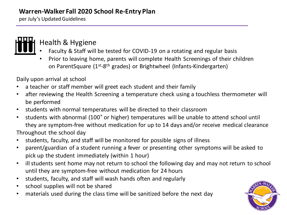per July's Updated Guidelines



## Health & Hygiene

- Faculty & Staff will be tested for COVID-19 on a rotating and regular basis
- Prior to leaving home, parents will complete Health Screenings of their children on ParentSquare (1<sup>st</sup>-8<sup>th</sup> grades) or Brightwheel (Infants-Kindergarten)

Daily upon arrival at school

- a teacher or staff member will greet each student and their family
- after reviewing the Health Screening a temperature check using a touchless thermometer will be performed
- students with normal temperatures will be directed to their classroom
- students with abnormal (100˚ or higher) temperatures will be unable to attend school until they are symptom-free without medication for up to 14 days and/or receive medical clearance Throughout the school day
- students, faculty, and staff will be monitored for possible signs of illness
- parent/guardian of a student running a fever or presenting other symptoms will be asked to pick up the student immediately (within 1 hour)
- ill students sent home may not return to school the following day and may not return to school until they are symptom-free without medication for 24 hours
- students, faculty, and staff will wash hands often and regularly
- school supplies will not be shared
- materials used during the class time will be sanitized before the next day

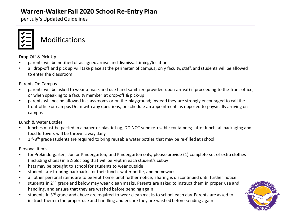per July's Updated Guidelines



**Modifications** 

Drop-Off & Pick-Up

- parents will be notified of assigned arrival and dismissal timing/location
- all drop-off and pick up will take place at the perimeter of campus; only faculty, staff, and students will be allowed to enter the classroom

Parents On Campus

- parents will be asked to wear a mask and use hand sanitizer (provided upon arrival) if proceeding to the front office, or when speaking to a faculty member at drop-off & pick-up
- parents will not be allowed in classrooms or on the playground; instead they are strongly encouraged to call the front office or campus Dean with any questions, or schedule an appointment as opposed to physically arriving on campus

Lunch & Water Bottles

- lunches must be packed in a paper or plastic bag; DO NOT send re-usable containers; after lunch, all packaging and food leftovers will be thrown away daily
- 1<sup>st</sup>-8<sup>th</sup> grade students are required to bring reusable water bottles that may be re-filled at school

Personal Items

- for Prekindergarten, Junior Kindergarten, and Kindergarten only, please provide (1) complete set of extra clothes (including shoes) in a Ziploc bag that will be kept in each student's cubby
- hats may be brought to school for students to wear outside
- students are to bring backpacks for their lunch, water bottle, and homework
- all other personal items are to be kept home until further notice; sharing is discontinued until further notice
- students in 2<sup>nd</sup> grade and below may wear clean masks. Parents are asked to instruct them in proper use and handling, and ensure that they are washed before sending again
- students in 3<sup>rd</sup> grade and above are required to wear clean masks to school each day. Parents are asked to instruct them in the proper use and handling and ensure they are washed before sending again

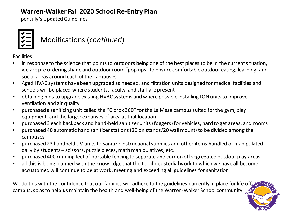per July's Updated Guidelines



## Modifications (*continued*)

Facilities

- in response to the science that points to outdoors being one of the best places to be in the current situation, we are pre ordering shade and outdoor room "pop ups" to ensure comfortable outdoor eating, learning, and social areas around each of the campuses
- Aged HVAC systems have been upgraded as needed, and filtration units designed for medical facilities and schools will be placed where students, faculty, and staff are present
- obtaining bids to upgrade existing HVAC systems and where possible installing ION units to improve ventilation and air quality
- purchased a sanitizing unit called the "Clorox 360" for the La Mesa campus suited for the gym, play equipment, and the larger expanses of area at that location.
- purchased 3 each backpack and hand-held sanitizer units (foggers) for vehicles, hard to get areas, and rooms
- purchased 40 automatic hand sanitizer stations (20 on stands/20 wall mount) to be divided among the campuses
- purchased 23 handheld UV units to sanitize instructional supplies and other items handled or manipulated daily by students – scissors, puzzle pieces, math manipulatives, etc.
- purchased 400 running feet of portable fencing to separate and cordon off segregated outdoor play areas
- all this is being planned with the knowledge that the terrific custodial work to which we have all become accustomed will continue to be at work, meeting and exceeding all guidelines for sanitation

We do this with the confidence that our families will adhere to the guidelines currently in place for life off campus, so as to help us maintain the health and well-being of the Warren-Walker School community.